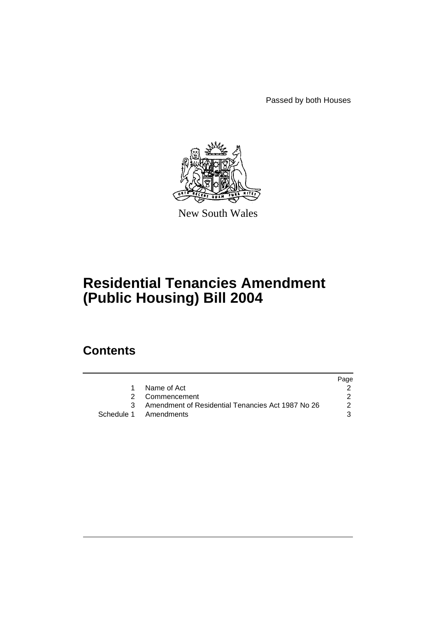Passed by both Houses



New South Wales

# **Residential Tenancies Amendment (Public Housing) Bill 2004**

# **Contents**

|   |                                                     | Page          |
|---|-----------------------------------------------------|---------------|
| 1 | Name of Act                                         |               |
|   | 2 Commencement                                      |               |
|   | 3 Amendment of Residential Tenancies Act 1987 No 26 | $\mathcal{P}$ |
|   | Schedule 1 Amendments                               | 3             |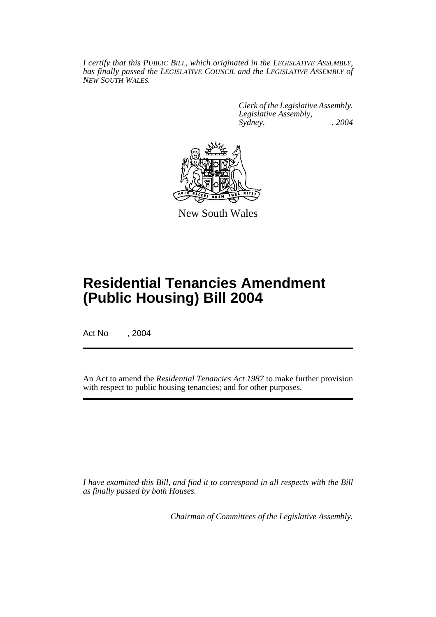*I certify that this PUBLIC BILL, which originated in the LEGISLATIVE ASSEMBLY, has finally passed the LEGISLATIVE COUNCIL and the LEGISLATIVE ASSEMBLY of NEW SOUTH WALES.*

> *Clerk of the Legislative Assembly. Legislative Assembly, Sydney, , 2004*



New South Wales

# **Residential Tenancies Amendment (Public Housing) Bill 2004**

Act No , 2004

An Act to amend the *Residential Tenancies Act 1987* to make further provision with respect to public housing tenancies; and for other purposes.

*I have examined this Bill, and find it to correspond in all respects with the Bill as finally passed by both Houses.*

*Chairman of Committees of the Legislative Assembly.*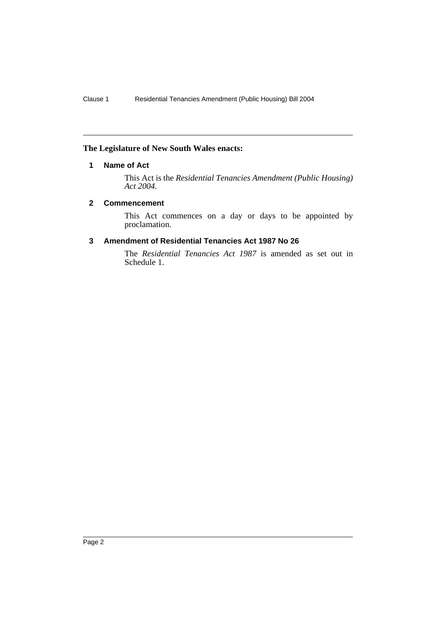# **The Legislature of New South Wales enacts:**

# **1 Name of Act**

This Act is the *Residential Tenancies Amendment (Public Housing) Act 2004*.

# **2 Commencement**

This Act commences on a day or days to be appointed by proclamation.

#### **3 Amendment of Residential Tenancies Act 1987 No 26**

The *Residential Tenancies Act 1987* is amended as set out in Schedule 1.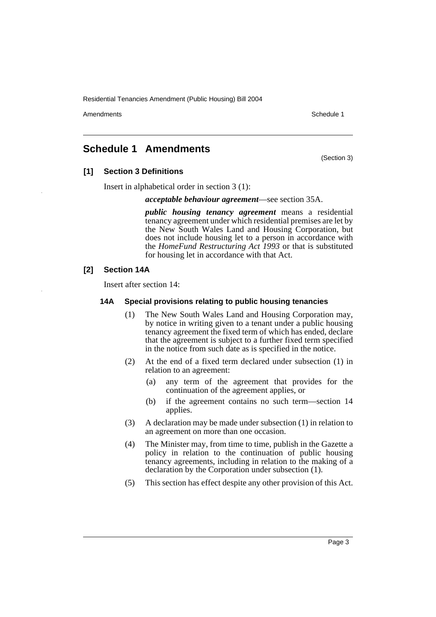Amendments **Amendments** Schedule 1

(Section 3)

# **Schedule 1 Amendments**

**[1] Section 3 Definitions**

Insert in alphabetical order in section 3 (1):

*acceptable behaviour agreement*—see section 35A.

*public housing tenancy agreement* means a residential tenancy agreement under which residential premises are let by the New South Wales Land and Housing Corporation, but does not include housing let to a person in accordance with the *HomeFund Restructuring Act 1993* or that is substituted for housing let in accordance with that Act.

# **[2] Section 14A**

Insert after section 14:

## **14A Special provisions relating to public housing tenancies**

- (1) The New South Wales Land and Housing Corporation may, by notice in writing given to a tenant under a public housing tenancy agreement the fixed term of which has ended, declare that the agreement is subject to a further fixed term specified in the notice from such date as is specified in the notice.
- (2) At the end of a fixed term declared under subsection (1) in relation to an agreement:
	- (a) any term of the agreement that provides for the continuation of the agreement applies, or
	- (b) if the agreement contains no such term—section 14 applies.
- (3) A declaration may be made under subsection (1) in relation to an agreement on more than one occasion.
- (4) The Minister may, from time to time, publish in the Gazette a policy in relation to the continuation of public housing tenancy agreements, including in relation to the making of a declaration by the Corporation under subsection (1).
- (5) This section has effect despite any other provision of this Act.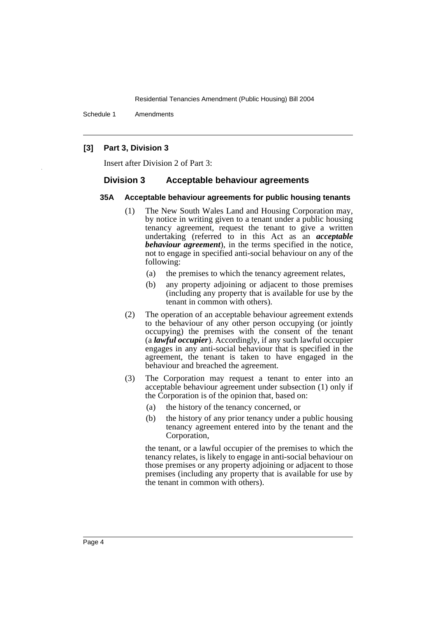Schedule 1 Amendments

## **[3] Part 3, Division 3**

Insert after Division 2 of Part 3:

#### **Division 3 Acceptable behaviour agreements**

#### **35A Acceptable behaviour agreements for public housing tenants**

- (1) The New South Wales Land and Housing Corporation may, by notice in writing given to a tenant under a public housing tenancy agreement, request the tenant to give a written undertaking (referred to in this Act as an *acceptable behaviour agreement*), in the terms specified in the notice, not to engage in specified anti-social behaviour on any of the following:
	- (a) the premises to which the tenancy agreement relates,
	- (b) any property adjoining or adjacent to those premises (including any property that is available for use by the tenant in common with others).
- (2) The operation of an acceptable behaviour agreement extends to the behaviour of any other person occupying (or jointly occupying) the premises with the consent of the tenant (a *lawful occupier*). Accordingly, if any such lawful occupier engages in any anti-social behaviour that is specified in the agreement, the tenant is taken to have engaged in the behaviour and breached the agreement.
- (3) The Corporation may request a tenant to enter into an acceptable behaviour agreement under subsection (1) only if the Corporation is of the opinion that, based on:
	- (a) the history of the tenancy concerned, or
	- (b) the history of any prior tenancy under a public housing tenancy agreement entered into by the tenant and the Corporation,

the tenant, or a lawful occupier of the premises to which the tenancy relates, is likely to engage in anti-social behaviour on those premises or any property adjoining or adjacent to those premises (including any property that is available for use by the tenant in common with others).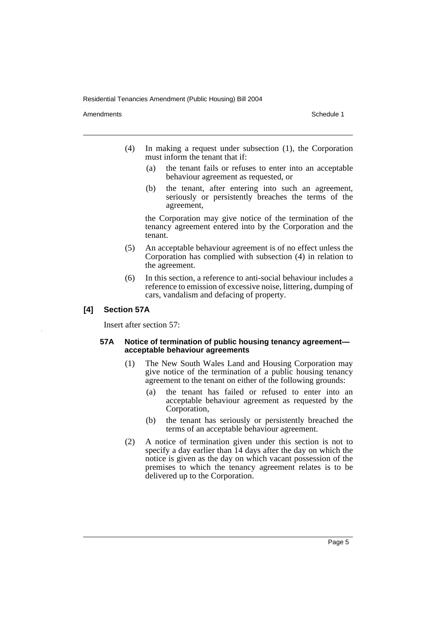Amendments **Amendments** Schedule 1

- (4) In making a request under subsection (1), the Corporation must inform the tenant that if:
	- (a) the tenant fails or refuses to enter into an acceptable behaviour agreement as requested, or
	- (b) the tenant, after entering into such an agreement, seriously or persistently breaches the terms of the agreement,

the Corporation may give notice of the termination of the tenancy agreement entered into by the Corporation and the tenant.

- (5) An acceptable behaviour agreement is of no effect unless the Corporation has complied with subsection (4) in relation to the agreement.
- (6) In this section, a reference to anti-social behaviour includes a reference to emission of excessive noise, littering, dumping of cars, vandalism and defacing of property.

## **[4] Section 57A**

Insert after section 57:

## **57A Notice of termination of public housing tenancy agreement acceptable behaviour agreements**

- (1) The New South Wales Land and Housing Corporation may give notice of the termination of a public housing tenancy agreement to the tenant on either of the following grounds:
	- (a) the tenant has failed or refused to enter into an acceptable behaviour agreement as requested by the Corporation,
	- (b) the tenant has seriously or persistently breached the terms of an acceptable behaviour agreement.
- (2) A notice of termination given under this section is not to specify a day earlier than 14 days after the day on which the notice is given as the day on which vacant possession of the premises to which the tenancy agreement relates is to be delivered up to the Corporation.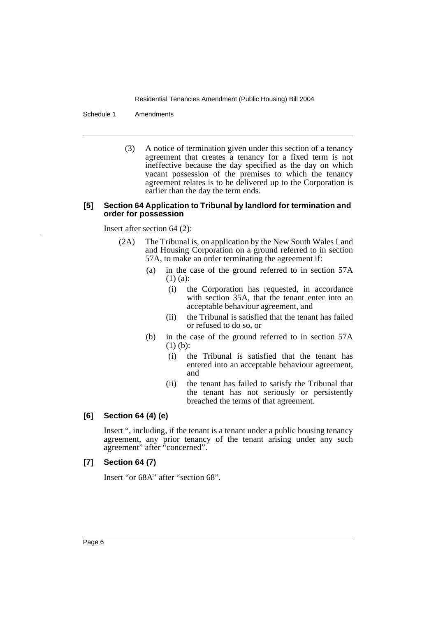Schedule 1 Amendments

(3) A notice of termination given under this section of a tenancy agreement that creates a tenancy for a fixed term is not ineffective because the day specified as the day on which vacant possession of the premises to which the tenancy agreement relates is to be delivered up to the Corporation is earlier than the day the term ends.

#### **[5] Section 64 Application to Tribunal by landlord for termination and order for possession**

Insert after section 64 (2):

- (2A) The Tribunal is, on application by the New South Wales Land and Housing Corporation on a ground referred to in section 57A, to make an order terminating the agreement if:
	- (a) in the case of the ground referred to in section 57A (1) (a):
		- (i) the Corporation has requested, in accordance with section 35A, that the tenant enter into an acceptable behaviour agreement, and
		- (ii) the Tribunal is satisfied that the tenant has failed or refused to do so, or
	- (b) in the case of the ground referred to in section 57A (1) (b):
		- (i) the Tribunal is satisfied that the tenant has entered into an acceptable behaviour agreement, and
		- (ii) the tenant has failed to satisfy the Tribunal that the tenant has not seriously or persistently breached the terms of that agreement.

# **[6] Section 64 (4) (e)**

Insert ", including, if the tenant is a tenant under a public housing tenancy agreement, any prior tenancy of the tenant arising under any such agreement" after "concerned".

# **[7] Section 64 (7)**

Insert "or 68A" after "section 68".